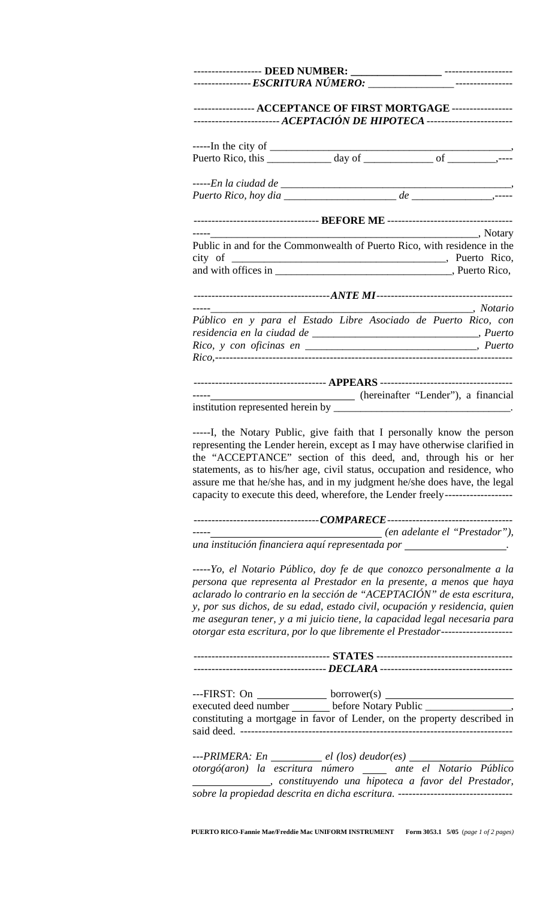| ----------------- ACCEPTANCE OF FIRST MORTGAGE ------------------                                                                                                                                                                                                                                                                                                                                                                                                                                                                               |                               |  |  |
|-------------------------------------------------------------------------------------------------------------------------------------------------------------------------------------------------------------------------------------------------------------------------------------------------------------------------------------------------------------------------------------------------------------------------------------------------------------------------------------------------------------------------------------------------|-------------------------------|--|--|
|                                                                                                                                                                                                                                                                                                                                                                                                                                                                                                                                                 |                               |  |  |
|                                                                                                                                                                                                                                                                                                                                                                                                                                                                                                                                                 |                               |  |  |
|                                                                                                                                                                                                                                                                                                                                                                                                                                                                                                                                                 |                               |  |  |
|                                                                                                                                                                                                                                                                                                                                                                                                                                                                                                                                                 |                               |  |  |
|                                                                                                                                                                                                                                                                                                                                                                                                                                                                                                                                                 |                               |  |  |
| Notary, Notary, Notary<br>Public in and for the Commonwealth of Puerto Rico, with residence in the                                                                                                                                                                                                                                                                                                                                                                                                                                              |                               |  |  |
|                                                                                                                                                                                                                                                                                                                                                                                                                                                                                                                                                 |                               |  |  |
|                                                                                                                                                                                                                                                                                                                                                                                                                                                                                                                                                 |                               |  |  |
|                                                                                                                                                                                                                                                                                                                                                                                                                                                                                                                                                 |                               |  |  |
| Público en y para el Estado Libre Asociado de Puerto Rico, con                                                                                                                                                                                                                                                                                                                                                                                                                                                                                  |                               |  |  |
|                                                                                                                                                                                                                                                                                                                                                                                                                                                                                                                                                 |                               |  |  |
|                                                                                                                                                                                                                                                                                                                                                                                                                                                                                                                                                 |                               |  |  |
| ------------------------------------- APPEARS -----------------------------------                                                                                                                                                                                                                                                                                                                                                                                                                                                               |                               |  |  |
|                                                                                                                                                                                                                                                                                                                                                                                                                                                                                                                                                 |                               |  |  |
|                                                                                                                                                                                                                                                                                                                                                                                                                                                                                                                                                 |                               |  |  |
|                                                                                                                                                                                                                                                                                                                                                                                                                                                                                                                                                 |                               |  |  |
|                                                                                                                                                                                                                                                                                                                                                                                                                                                                                                                                                 |                               |  |  |
| -----I, the Notary Public, give faith that I personally know the person<br>representing the Lender herein, except as I may have otherwise clarified in<br>the "ACCEPTANCE" section of this deed, and, through his or her<br>statements, as to his/her age, civil status, occupation and residence, who<br>assure me that he/she has, and in my judgment he/she does have, the legal<br>capacity to execute this deed, wherefore, the Lender freely--------------------<br>una institución financiera aquí representada por ___________________. | (en adelante el "Prestador"), |  |  |
| -----Yo, el Notario Público, doy fe de que conozco personalmente a la<br>persona que representa al Prestador en la presente, a menos que haya<br>aclarado lo contrario en la sección de "ACEPTACIÓN" de esta escritura,<br>y, por sus dichos, de su edad, estado civil, ocupación y residencia, quien<br>me aseguran tener, y a mi juicio tiene, la capacidad legal necesaria para<br>otorgar esta escritura, por lo que libremente el Prestador--------------------                                                                            |                               |  |  |
|                                                                                                                                                                                                                                                                                                                                                                                                                                                                                                                                                 |                               |  |  |
|                                                                                                                                                                                                                                                                                                                                                                                                                                                                                                                                                 |                               |  |  |
|                                                                                                                                                                                                                                                                                                                                                                                                                                                                                                                                                 |                               |  |  |
|                                                                                                                                                                                                                                                                                                                                                                                                                                                                                                                                                 |                               |  |  |
|                                                                                                                                                                                                                                                                                                                                                                                                                                                                                                                                                 |                               |  |  |
| $--FIRST: On \underline{\hspace{2cm}} \underline{\hspace{2cm}} \underline{\hspace{2cm}}$ borrower(s) $\underline{\hspace{2cm}}$<br>executed deed number _______ before Notary Public ______________________________<br>constituting a mortgage in favor of Lender, on the property described in<br>$--PRIMERA: En$ el $(loc)$ deudor(es)<br>otorgó(aron) la escritura número ____ ante el Notario Público<br>constituyendo una hipoteca a favor del Prestador,                                                                                  |                               |  |  |

 **PUERTO RICO**-**Fannie Mae/Freddie Mac UNIFORM INSTRUMENT Form 3053.1 5/05** (*page 1 of 2 pages)*